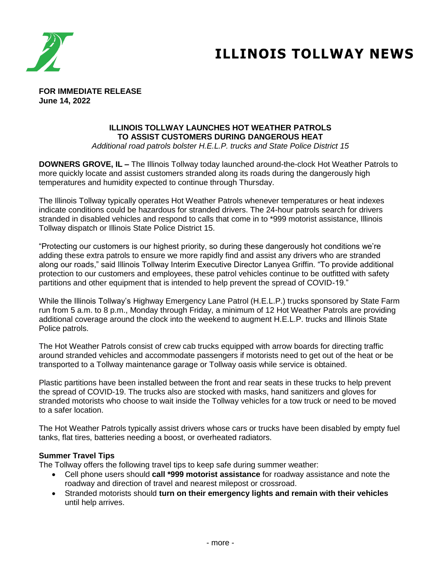

## **ILLINOIS TOLLWAY NEWS**

**FOR IMMEDIATE RELEASE June 14, 2022**

## **ILLINOIS TOLLWAY LAUNCHES HOT WEATHER PATROLS TO ASSIST CUSTOMERS DURING DANGEROUS HEAT**

*Additional road patrols bolster H.E.L.P. trucks and State Police District 15*

**DOWNERS GROVE, IL –** The Illinois Tollway today launched around-the-clock Hot Weather Patrols to more quickly locate and assist customers stranded along its roads during the dangerously high temperatures and humidity expected to continue through Thursday.

The Illinois Tollway typically operates Hot Weather Patrols whenever temperatures or heat indexes indicate conditions could be hazardous for stranded drivers. The 24-hour patrols search for drivers stranded in disabled vehicles and respond to calls that come in to \*999 motorist assistance, Illinois Tollway dispatch or Illinois State Police District 15.

"Protecting our customers is our highest priority, so during these dangerously hot conditions we're adding these extra patrols to ensure we more rapidly find and assist any drivers who are stranded along our roads," said Illinois Tollway Interim Executive Director Lanyea Griffin. "To provide additional protection to our customers and employees, these patrol vehicles continue to be outfitted with safety partitions and other equipment that is intended to help prevent the spread of COVID-19."

While the Illinois Tollway's Highway Emergency Lane Patrol (H.E.L.P.) trucks sponsored by State Farm run from 5 a.m. to 8 p.m., Monday through Friday, a minimum of 12 Hot Weather Patrols are providing additional coverage around the clock into the weekend to augment H.E.L.P. trucks and Illinois State Police patrols.

The Hot Weather Patrols consist of crew cab trucks equipped with arrow boards for directing traffic around stranded vehicles and accommodate passengers if motorists need to get out of the heat or be transported to a Tollway maintenance garage or Tollway oasis while service is obtained.

Plastic partitions have been installed between the front and rear seats in these trucks to help prevent the spread of COVID-19. The trucks also are stocked with masks, hand sanitizers and gloves for stranded motorists who choose to wait inside the Tollway vehicles for a tow truck or need to be moved to a safer location.

The Hot Weather Patrols typically assist drivers whose cars or trucks have been disabled by empty fuel tanks, flat tires, batteries needing a boost, or overheated radiators.

## **Summer Travel Tips**

The Tollway offers the following travel tips to keep safe during summer weather:

- Cell phone users should **call \*999 motorist assistance** for roadway assistance and note the roadway and direction of travel and nearest milepost or crossroad.
- Stranded motorists should **turn on their emergency lights and remain with their vehicles** until help arrives.